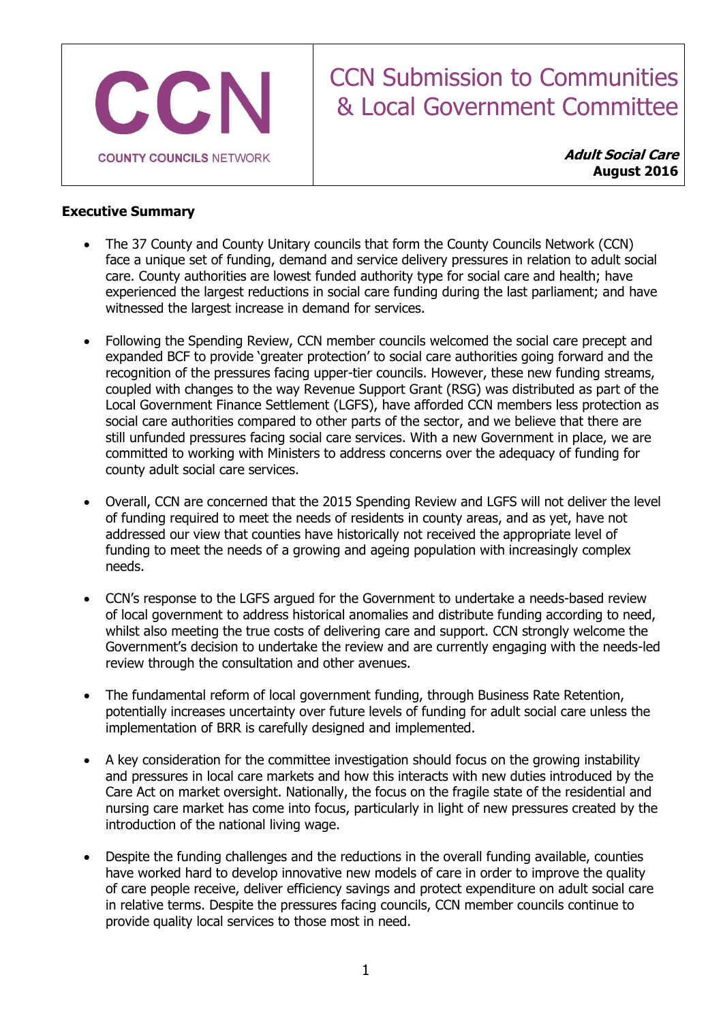

# CCN Submission to Communities & Local Government Committee

**Adult Social Care August 2016**

# **Executive Summary**

- The 37 County and County Unitary councils that form the County Councils Network (CCN) face a unique set of funding, demand and service delivery pressures in relation to adult social care. County authorities are lowest funded authority type for social care and health; have experienced the largest reductions in social care funding during the last parliament; and have witnessed the largest increase in demand for services.
- Following the Spending Review, CCN member councils welcomed the social care precept and expanded BCF to provide 'greater protection' to social care authorities going forward and the recognition of the pressures facing upper-tier councils. However, these new funding streams, coupled with changes to the way Revenue Support Grant (RSG) was distributed as part of the Local Government Finance Settlement (LGFS), have afforded CCN members less protection as social care authorities compared to other parts of the sector, and we believe that there are still unfunded pressures facing social care services. With a new Government in place, we are committed to working with Ministers to address concerns over the adequacy of funding for county adult social care services.
- Overall, CCN are concerned that the 2015 Spending Review and LGFS will not deliver the level of funding required to meet the needs of residents in county areas, and as yet, have not addressed our view that counties have historically not received the appropriate level of funding to meet the needs of a growing and ageing population with increasingly complex needs.
- CCN's response to the LGFS argued for the Government to undertake a needs-based review of local government to address historical anomalies and distribute funding according to need, whilst also meeting the true costs of delivering care and support. CCN strongly welcome the Government's decision to undertake the review and are currently engaging with the needs-led review through the consultation and other avenues.
- The fundamental reform of local government funding, through Business Rate Retention, potentially increases uncertainty over future levels of funding for adult social care unless the implementation of BRR is carefully designed and implemented.
- A key consideration for the committee investigation should focus on the growing instability and pressures in local care markets and how this interacts with new duties introduced by the Care Act on market oversight. Nationally, the focus on the fragile state of the residential and nursing care market has come into focus, particularly in light of new pressures created by the introduction of the national living wage.
- Despite the funding challenges and the reductions in the overall funding available, counties have worked hard to develop innovative new models of care in order to improve the quality of care people receive, deliver efficiency savings and protect expenditure on adult social care in relative terms. Despite the pressures facing councils, CCN member councils continue to provide quality local services to those most in need.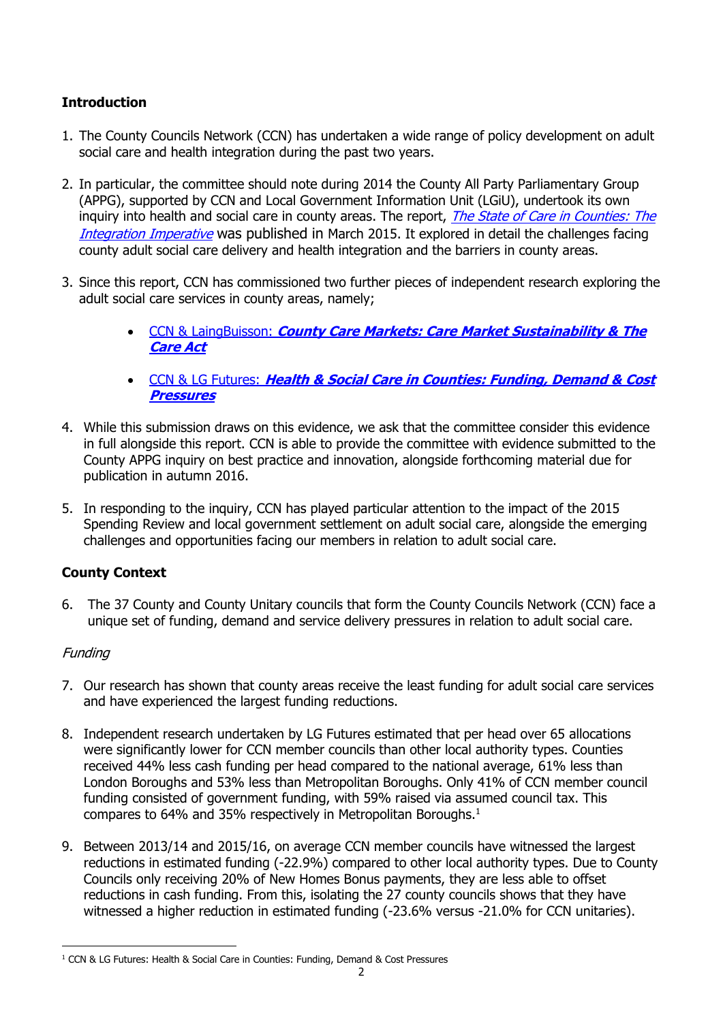# **Introduction**

- 1. The County Councils Network (CCN) has undertaken a wide range of policy development on adult social care and health integration during the past two years.
- 2. In particular, the committee should note during 2014 the County All Party Parliamentary Group (APPG), supported by CCN and Local Government Information Unit (LGiU), undertook its own inquiry into health and social care in county areas. The report, *The State of Care in Counties: The* [Integration Imperative](http://www.countycouncilsnetwork.org.uk/appg-inquiries/) was published in March 2015. It explored in detail the challenges facing county adult social care delivery and health integration and the barriers in county areas.
- 3. Since this report, CCN has commissioned two further pieces of independent research exploring the adult social care services in county areas, namely;
	- CCN & LaingBuisson: **[County Care Markets: Care Market Sustainability](http://www.countycouncilsnetwork.org.uk/countycaremarkets/) & The [Care Act](http://www.countycouncilsnetwork.org.uk/countycaremarkets/)**
	- CCN & LG Futures: **[Health & Social Care in Counties: Funding, Demand & Cost](http://www.countycouncilsnetwork.org.uk/news/2016/jan/health-amp-social-care-counties-funding-demand-amp-cost-pressures/)  [Pressures](http://www.countycouncilsnetwork.org.uk/news/2016/jan/health-amp-social-care-counties-funding-demand-amp-cost-pressures/)**
- 4. While this submission draws on this evidence, we ask that the committee consider this evidence in full alongside this report. CCN is able to provide the committee with evidence submitted to the County APPG inquiry on best practice and innovation, alongside forthcoming material due for publication in autumn 2016.
- 5. In responding to the inquiry, CCN has played particular attention to the impact of the 2015 Spending Review and local government settlement on adult social care, alongside the emerging challenges and opportunities facing our members in relation to adult social care.

# **County Context**

6. The 37 County and County Unitary councils that form the County Councils Network (CCN) face a unique set of funding, demand and service delivery pressures in relation to adult social care.

# **Funding**

- 7. Our research has shown that county areas receive the least funding for adult social care services and have experienced the largest funding reductions.
- 8. Independent research undertaken by LG Futures estimated that per head over 65 allocations were significantly lower for CCN member councils than other local authority types. Counties received 44% less cash funding per head compared to the national average, 61% less than London Boroughs and 53% less than Metropolitan Boroughs. Only 41% of CCN member council funding consisted of government funding, with 59% raised via assumed council tax. This compares to 64% and 35% respectively in Metropolitan Boroughs.<sup>1</sup>
- 9. Between 2013/14 and 2015/16, on average CCN member councils have witnessed the largest reductions in estimated funding (-22.9%) compared to other local authority types. Due to County Councils only receiving 20% of New Homes Bonus payments, they are less able to offset reductions in cash funding. From this, isolating the 27 county councils shows that they have witnessed a higher reduction in estimated funding (-23.6% versus -21.0% for CCN unitaries).

<sup>-</sup><sup>1</sup> CCN & LG Futures: Health & Social Care in Counties: Funding, Demand & Cost Pressures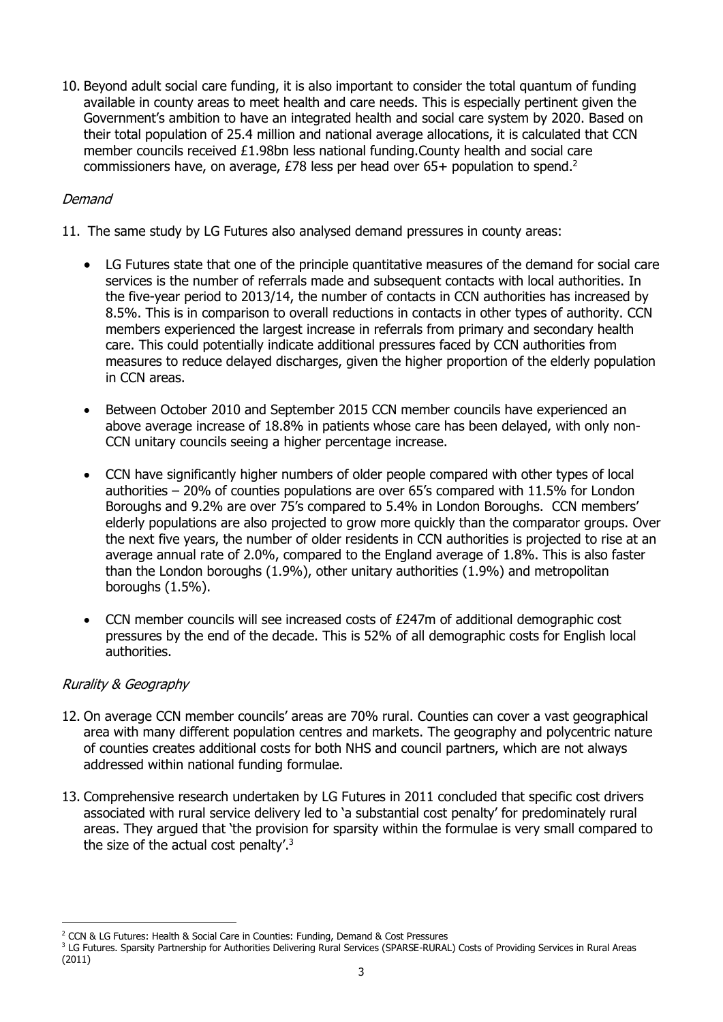10. Beyond adult social care funding, it is also important to consider the total quantum of funding available in county areas to meet health and care needs. This is especially pertinent given the Government's ambition to have an integrated health and social care system by 2020. Based on their total population of 25.4 million and national average allocations, it is calculated that CCN member councils received £1.98bn less national funding.County health and social care commissioners have, on average, £78 less per head over 65+ population to spend.<sup>2</sup>

# Demand

- 11. The same study by LG Futures also analysed demand pressures in county areas:
	- LG Futures state that one of the principle quantitative measures of the demand for social care services is the number of referrals made and subsequent contacts with local authorities. In the five-year period to 2013/14, the number of contacts in CCN authorities has increased by 8.5%. This is in comparison to overall reductions in contacts in other types of authority. CCN members experienced the largest increase in referrals from primary and secondary health care. This could potentially indicate additional pressures faced by CCN authorities from measures to reduce delayed discharges, given the higher proportion of the elderly population in CCN areas.
	- Between October 2010 and September 2015 CCN member councils have experienced an above average increase of 18.8% in patients whose care has been delayed, with only non-CCN unitary councils seeing a higher percentage increase.
	- CCN have significantly higher numbers of older people compared with other types of local authorities – 20% of counties populations are over 65's compared with 11.5% for London Boroughs and 9.2% are over 75's compared to 5.4% in London Boroughs. CCN members' elderly populations are also projected to grow more quickly than the comparator groups. Over the next five years, the number of older residents in CCN authorities is projected to rise at an average annual rate of 2.0%, compared to the England average of 1.8%. This is also faster than the London boroughs (1.9%), other unitary authorities (1.9%) and metropolitan boroughs (1.5%).
	- CCN member councils will see increased costs of £247m of additional demographic cost pressures by the end of the decade. This is 52% of all demographic costs for English local authorities.

# Rurality & Geography

-

- 12. On average CCN member councils' areas are 70% rural. Counties can cover a vast geographical area with many different population centres and markets. The geography and polycentric nature of counties creates additional costs for both NHS and council partners, which are not always addressed within national funding formulae.
- 13. Comprehensive research undertaken by LG Futures in 2011 concluded that specific cost drivers associated with rural service delivery led to 'a substantial cost penalty' for predominately rural areas. They argued that 'the provision for sparsity within the formulae is very small compared to the size of the actual cost penalty'.<sup>3</sup>

<sup>2</sup> CCN & LG Futures: Health & Social Care in Counties: Funding, Demand & Cost Pressures

<sup>&</sup>lt;sup>3</sup> LG Futures. Sparsity Partnership for Authorities Delivering Rural Services (SPARSE-RURAL) Costs of Providing Services in Rural Areas (2011)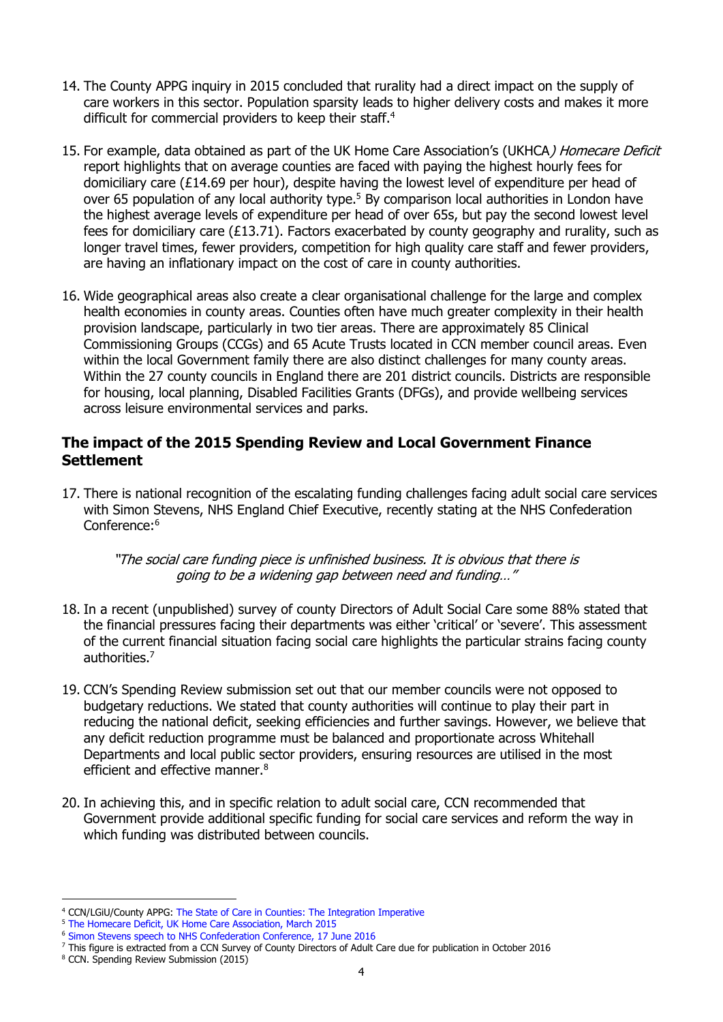- 14. The County APPG inquiry in 2015 concluded that rurality had a direct impact on the supply of care workers in this sector. Population sparsity leads to higher delivery costs and makes it more difficult for commercial providers to keep their staff.<sup>4</sup>
- 15. For example, data obtained as part of the UK Home Care Association's (UKHCA) Homecare Deficit report highlights that on average counties are faced with paying the highest hourly fees for domiciliary care (£14.69 per hour), despite having the lowest level of expenditure per head of over 65 population of any local authority type.<sup>5</sup> By comparison local authorities in London have the highest average levels of expenditure per head of over 65s, but pay the second lowest level fees for domiciliary care  $(E13.71)$ . Factors exacerbated by county geography and rurality, such as longer travel times, fewer providers, competition for high quality care staff and fewer providers, are having an inflationary impact on the cost of care in county authorities.
- 16. Wide geographical areas also create a clear organisational challenge for the large and complex health economies in county areas. Counties often have much greater complexity in their health provision landscape, particularly in two tier areas. There are approximately 85 Clinical Commissioning Groups (CCGs) and 65 Acute Trusts located in CCN member council areas. Even within the local Government family there are also distinct challenges for many county areas. Within the 27 county councils in England there are 201 district councils. Districts are responsible for housing, local planning, Disabled Facilities Grants (DFGs), and provide wellbeing services across leisure environmental services and parks.

# **The impact of the 2015 Spending Review and Local Government Finance Settlement**

17. There is national recognition of the escalating funding challenges facing adult social care services with Simon Stevens, NHS England Chief Executive, recently stating at the NHS Confederation Conference:<sup>6</sup>

#### "The social care funding piece is unfinished business. It is obvious that there is going to be a widening gap between need and funding…"

- 18. In a recent (unpublished) survey of county Directors of Adult Social Care some 88% stated that the financial pressures facing their departments was either 'critical' or 'severe'. This assessment of the current financial situation facing social care highlights the particular strains facing county authorities. 7
- 19. CCN's Spending Review submission set out that our member councils were not opposed to budgetary reductions. We stated that county authorities will continue to play their part in reducing the national deficit, seeking efficiencies and further savings. However, we believe that any deficit reduction programme must be balanced and proportionate across Whitehall Departments and local public sector providers, ensuring resources are utilised in the most efficient and effective manner.<sup>8</sup>
- 20. In achieving this, and in specific relation to adult social care, CCN recommended that Government provide additional specific funding for social care services and reform the way in which funding was distributed between councils.

<sup>-</sup><sup>4</sup> CCN/LGiU/County APPG: [The State of Care in Counties: The Integration Imperative](http://www.countycouncilsnetwork.org.uk/appg-inquiries/)

<sup>5</sup> [The Homecare Deficit, UK Home Care Association, March 2015](http://www.ukhca.co.uk/pdfs/ukhca_the_homecare_deficit_201502_web_version_in_spreads.pdf)

<sup>6</sup> [Simon Stevens speech to NHS Confederation Conference, 17 June 2016](https://www.england.nhs.uk/2016/06/simon-stevens-confed-speech/)

<sup>7</sup> This figure is extracted from a CCN Survey of County Directors of Adult Care due for publication in October 2016

<sup>8</sup> CCN. Spending Review Submission (2015)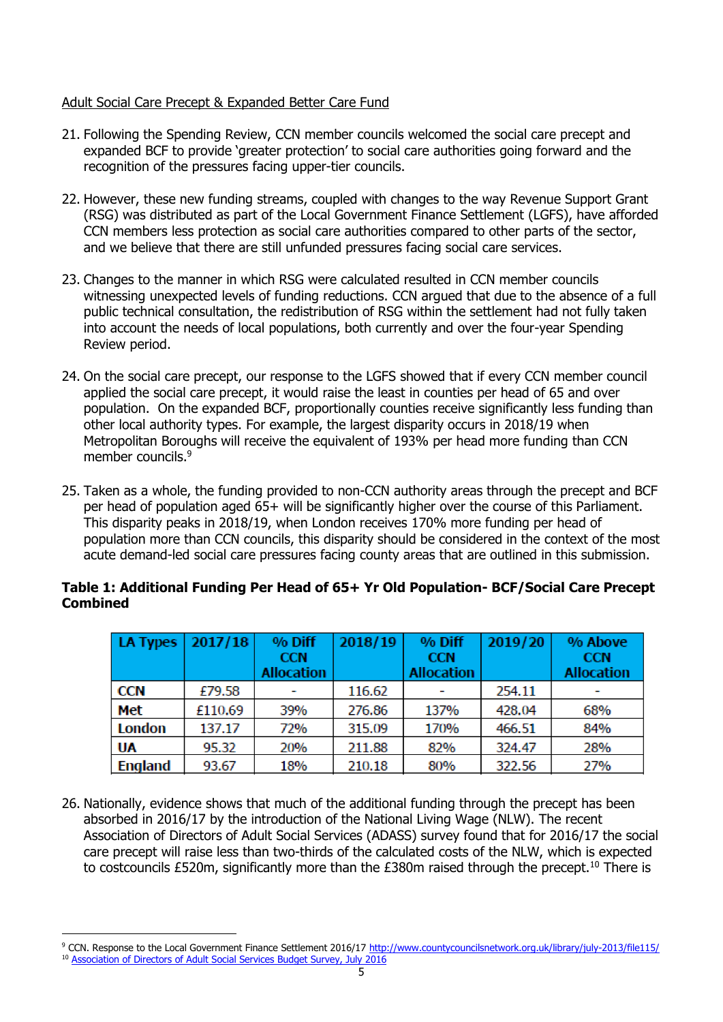# Adult Social Care Precept & Expanded Better Care Fund

- 21. Following the Spending Review, CCN member councils welcomed the social care precept and expanded BCF to provide 'greater protection' to social care authorities going forward and the recognition of the pressures facing upper-tier councils.
- 22. However, these new funding streams, coupled with changes to the way Revenue Support Grant (RSG) was distributed as part of the Local Government Finance Settlement (LGFS), have afforded CCN members less protection as social care authorities compared to other parts of the sector, and we believe that there are still unfunded pressures facing social care services.
- 23. Changes to the manner in which RSG were calculated resulted in CCN member councils witnessing unexpected levels of funding reductions. CCN argued that due to the absence of a full public technical consultation, the redistribution of RSG within the settlement had not fully taken into account the needs of local populations, both currently and over the four-year Spending Review period.
- 24. On the social care precept, our response to the LGFS showed that if every CCN member council applied the social care precept, it would raise the least in counties per head of 65 and over population. On the expanded BCF, proportionally counties receive significantly less funding than other local authority types. For example, the largest disparity occurs in 2018/19 when Metropolitan Boroughs will receive the equivalent of 193% per head more funding than CCN member councils.<sup>9</sup>
- 25. Taken as a whole, the funding provided to non-CCN authority areas through the precept and BCF per head of population aged 65+ will be significantly higher over the course of this Parliament. This disparity peaks in 2018/19, when London receives 170% more funding per head of population more than CCN councils, this disparity should be considered in the context of the most acute demand-led social care pressures facing county areas that are outlined in this submission.

# **Table 1: Additional Funding Per Head of 65+ Yr Old Population- BCF/Social Care Precept Combined**

| LA Types       | 2017/18 | % Diff<br><b>CCN</b><br><b>Allocation</b> | 2018/19 | % Diff<br><b>CCN</b><br><b>Allocation</b> | 2019/20 | % Above<br><b>CCN</b><br><b>Allocation</b> |
|----------------|---------|-------------------------------------------|---------|-------------------------------------------|---------|--------------------------------------------|
| <b>CCN</b>     | £79.58  |                                           | 116.62  |                                           | 254.11  |                                            |
| Met            | £110.69 | 39%                                       | 276.86  | 137%                                      | 428.04  | 68%                                        |
| London         | 137.17  | 72%                                       | 315.09  | 170%                                      | 466.51  | 84%                                        |
| <b>UA</b>      | 95.32   | 20%                                       | 211.88  | 82%                                       | 324.47  | 28%                                        |
| <b>England</b> | 93.67   | 18%                                       | 210.18  | 80%                                       | 322.56  | 27%                                        |

26. Nationally, evidence shows that much of the additional funding through the precept has been absorbed in 2016/17 by the introduction of the National Living Wage (NLW). The recent Association of Directors of Adult Social Services (ADASS) survey found that for 2016/17 the social care precept will raise less than two-thirds of the calculated costs of the NLW, which is expected to costcouncils £520m, significantly more than the  $E380m$  raised through the precept.<sup>10</sup> There is

<sup>-</sup><sup>9</sup> CCN. Response to the Local Government Finance Settlement 2016/17<http://www.countycouncilsnetwork.org.uk/library/july-2013/file115/> <sup>10</sup> [Association of Directors of Adult Social Services Budget Survey, July 2016](https://www.adass.org.uk/media/5379/adass-budget-survey-report-2016.pdf)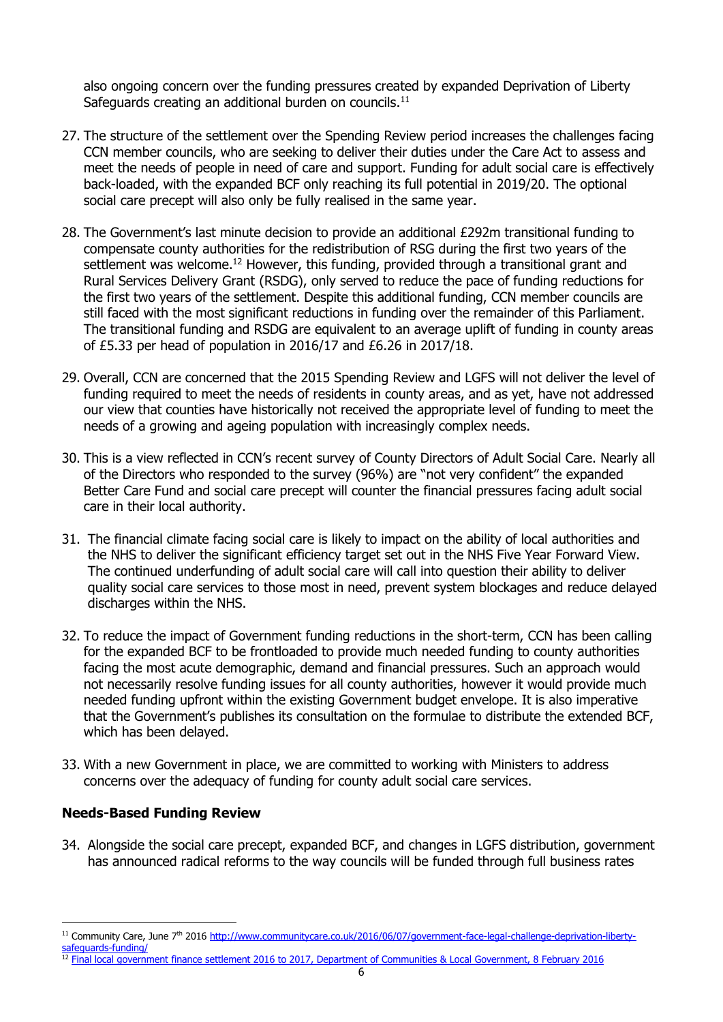also ongoing concern over the funding pressures created by expanded Deprivation of Liberty Safeguards creating an additional burden on councils.<sup>11</sup>

- 27. The structure of the settlement over the Spending Review period increases the challenges facing CCN member councils, who are seeking to deliver their duties under the Care Act to assess and meet the needs of people in need of care and support. Funding for adult social care is effectively back-loaded, with the expanded BCF only reaching its full potential in 2019/20. The optional social care precept will also only be fully realised in the same year.
- 28. The Government's last minute decision to provide an additional £292m transitional funding to compensate county authorities for the redistribution of RSG during the first two years of the settlement was welcome.<sup>12</sup> However, this funding, provided through a transitional grant and Rural Services Delivery Grant (RSDG), only served to reduce the pace of funding reductions for the first two years of the settlement. Despite this additional funding, CCN member councils are still faced with the most significant reductions in funding over the remainder of this Parliament. The transitional funding and RSDG are equivalent to an average uplift of funding in county areas of £5.33 per head of population in 2016/17 and £6.26 in 2017/18.
- 29. Overall, CCN are concerned that the 2015 Spending Review and LGFS will not deliver the level of funding required to meet the needs of residents in county areas, and as yet, have not addressed our view that counties have historically not received the appropriate level of funding to meet the needs of a growing and ageing population with increasingly complex needs.
- 30. This is a view reflected in CCN's recent survey of County Directors of Adult Social Care. Nearly all of the Directors who responded to the survey (96%) are "not very confident" the expanded Better Care Fund and social care precept will counter the financial pressures facing adult social care in their local authority.
- 31. The financial climate facing social care is likely to impact on the ability of local authorities and the NHS to deliver the significant efficiency target set out in the NHS Five Year Forward View. The continued underfunding of adult social care will call into question their ability to deliver quality social care services to those most in need, prevent system blockages and reduce delayed discharges within the NHS.
- 32. To reduce the impact of Government funding reductions in the short-term, CCN has been calling for the expanded BCF to be frontloaded to provide much needed funding to county authorities facing the most acute demographic, demand and financial pressures. Such an approach would not necessarily resolve funding issues for all county authorities, however it would provide much needed funding upfront within the existing Government budget envelope. It is also imperative that the Government's publishes its consultation on the formulae to distribute the extended BCF, which has been delayed.
- 33. With a new Government in place, we are committed to working with Ministers to address concerns over the adequacy of funding for county adult social care services.

#### **Needs-Based Funding Review**

-

34. Alongside the social care precept, expanded BCF, and changes in LGFS distribution, government has announced radical reforms to the way councils will be funded through full business rates

<sup>11</sup> Community Care, June 7<sup>th</sup> 2016 [http://www.communitycare.co.uk/2016/06/07/government-face-legal-challenge-deprivation-liberty](http://www.communitycare.co.uk/2016/06/07/government-face-legal-challenge-deprivation-liberty-safeguards-funding/)[safeguards-funding/](http://www.communitycare.co.uk/2016/06/07/government-face-legal-challenge-deprivation-liberty-safeguards-funding/)

<sup>&</sup>lt;sup>12</sup> [Final local government finance settlement 2016 to 2017, Department of Communities & Local](https://www.gov.uk/government/speeches/final-local-government-finance-settlement-2016-to-2017) Government, 8 February 2016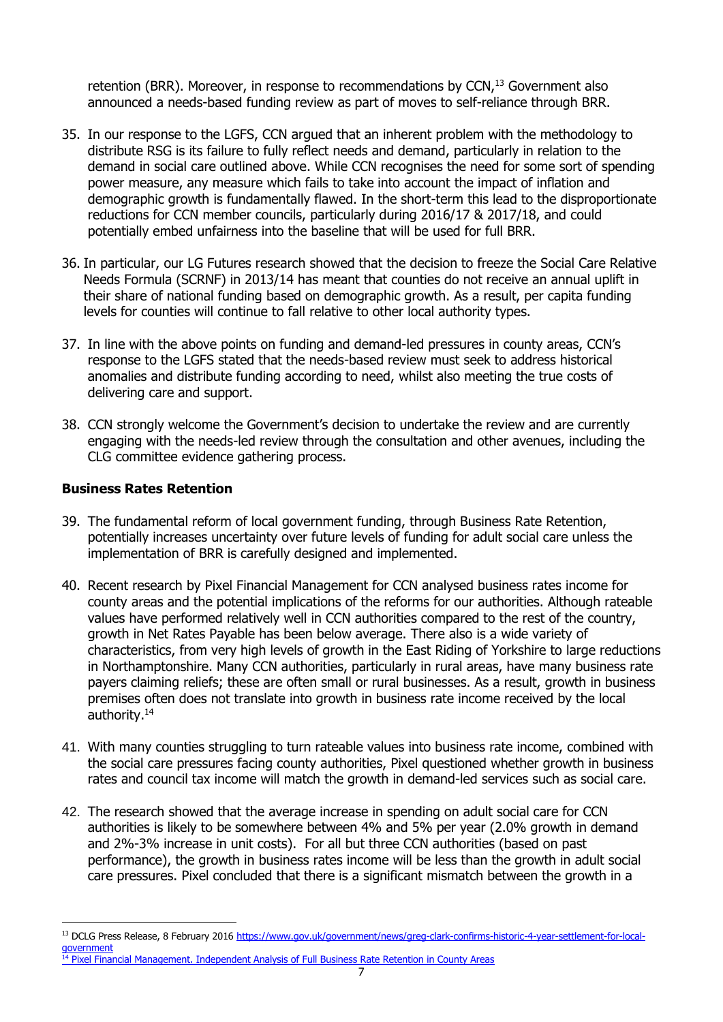retention (BRR). Moreover, in response to recommendations by  $CCN<sub>1</sub>^{13}$  Government also announced a needs-based funding review as part of moves to self-reliance through BRR.

- 35. In our response to the LGFS, CCN argued that an inherent problem with the methodology to distribute RSG is its failure to fully reflect needs and demand, particularly in relation to the demand in social care outlined above. While CCN recognises the need for some sort of spending power measure, any measure which fails to take into account the impact of inflation and demographic growth is fundamentally flawed. In the short-term this lead to the disproportionate reductions for CCN member councils, particularly during 2016/17 & 2017/18, and could potentially embed unfairness into the baseline that will be used for full BRR.
- 36. In particular, our LG Futures research showed that the decision to freeze the Social Care Relative Needs Formula (SCRNF) in 2013/14 has meant that counties do not receive an annual uplift in their share of national funding based on demographic growth. As a result, per capita funding levels for counties will continue to fall relative to other local authority types.
- 37. In line with the above points on funding and demand-led pressures in county areas, CCN's response to the LGFS stated that the needs-based review must seek to address historical anomalies and distribute funding according to need, whilst also meeting the true costs of delivering care and support.
- 38. CCN strongly welcome the Government's decision to undertake the review and are currently engaging with the needs-led review through the consultation and other avenues, including the CLG committee evidence gathering process.

# **Business Rates Retention**

-

- 39. The fundamental reform of local government funding, through Business Rate Retention, potentially increases uncertainty over future levels of funding for adult social care unless the implementation of BRR is carefully designed and implemented.
- 40. Recent research by Pixel Financial Management for CCN analysed business rates income for county areas and the potential implications of the reforms for our authorities. Although rateable values have performed relatively well in CCN authorities compared to the rest of the country, growth in Net Rates Payable has been below average. There also is a wide variety of characteristics, from very high levels of growth in the East Riding of Yorkshire to large reductions in Northamptonshire. Many CCN authorities, particularly in rural areas, have many business rate payers claiming reliefs; these are often small or rural businesses. As a result, growth in business premises often does not translate into growth in business rate income received by the local authority.<sup>14</sup>
- 41. With many counties struggling to turn rateable values into business rate income, combined with the social care pressures facing county authorities, Pixel questioned whether growth in business rates and council tax income will match the growth in demand-led services such as social care.
- 42. The research showed that the average increase in spending on adult social care for CCN authorities is likely to be somewhere between 4% and 5% per year (2.0% growth in demand and 2%-3% increase in unit costs). For all but three CCN authorities (based on past performance), the growth in business rates income will be less than the growth in adult social care pressures. Pixel concluded that there is a significant mismatch between the growth in a

<sup>&</sup>lt;sup>13</sup> DCLG Press Release, 8 February 2016 [https://www.gov.uk/government/news/greg-clark-confirms-historic-4-year-settlement-for-local](https://www.gov.uk/government/news/greg-clark-confirms-historic-4-year-settlement-for-local-government)[government](https://www.gov.uk/government/news/greg-clark-confirms-historic-4-year-settlement-for-local-government)

<sup>&</sup>lt;sup>14</sup> [Pixel Financial Management. Independent Analysis of Full Business Rate Retention in County Areas](http://www.countycouncilsnetwork.org.uk/library/july-2013/file124/)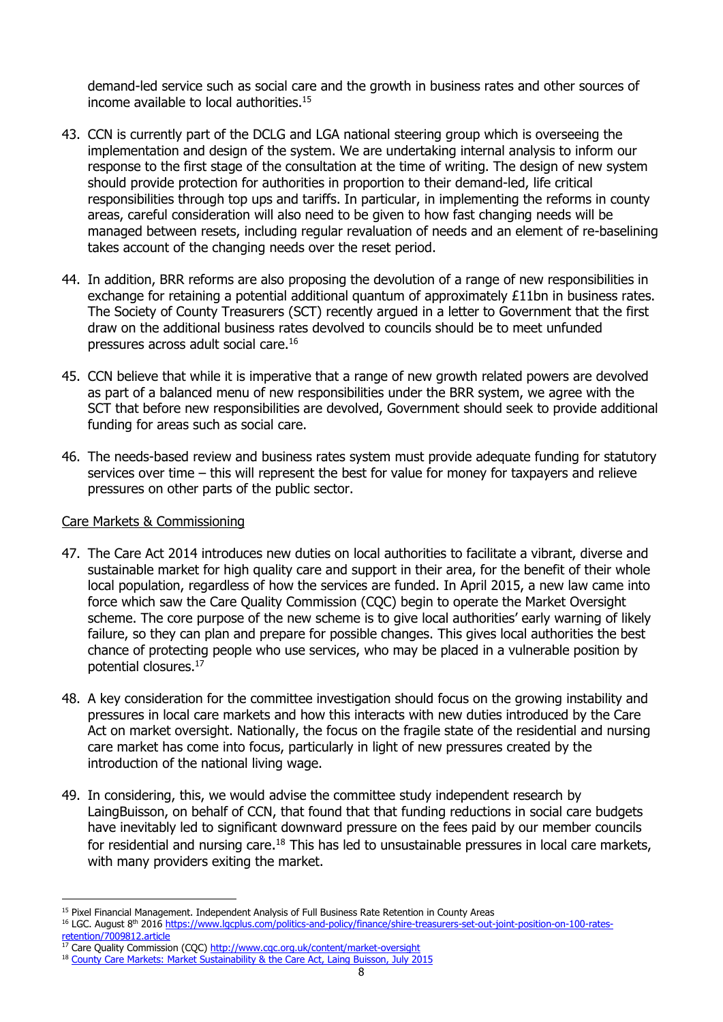demand-led service such as social care and the growth in business rates and other sources of income available to local authorities.<sup>15</sup>

- 43. CCN is currently part of the DCLG and LGA national steering group which is overseeing the implementation and design of the system. We are undertaking internal analysis to inform our response to the first stage of the consultation at the time of writing. The design of new system should provide protection for authorities in proportion to their demand-led, life critical responsibilities through top ups and tariffs. In particular, in implementing the reforms in county areas, careful consideration will also need to be given to how fast changing needs will be managed between resets, including regular revaluation of needs and an element of re-baselining takes account of the changing needs over the reset period.
- 44. In addition, BRR reforms are also proposing the devolution of a range of new responsibilities in exchange for retaining a potential additional quantum of approximately £11bn in business rates. The Society of County Treasurers (SCT) recently argued in a letter to Government that the first draw on the additional business rates devolved to councils should be to meet unfunded pressures across adult social care.<sup>16</sup>
- 45. CCN believe that while it is imperative that a range of new growth related powers are devolved as part of a balanced menu of new responsibilities under the BRR system, we agree with the SCT that before new responsibilities are devolved, Government should seek to provide additional funding for areas such as social care.
- 46. The needs-based review and business rates system must provide adequate funding for statutory services over time – this will represent the best for value for money for taxpayers and relieve pressures on other parts of the public sector.

#### Care Markets & Commissioning

-

- 47. The Care Act 2014 introduces new duties on local authorities to facilitate a vibrant, diverse and sustainable market for high quality care and support in their area, for the benefit of their whole local population, regardless of how the services are funded. In April 2015, a new law came into force which saw the Care Quality Commission (CQC) begin to operate the Market Oversight scheme. The core purpose of the new scheme is to give local authorities' early warning of likely failure, so they can plan and prepare for possible changes. This gives local authorities the best chance of protecting people who use services, who may be placed in a vulnerable position by potential closures.<sup>17</sup>
- 48. A key consideration for the committee investigation should focus on the growing instability and pressures in local care markets and how this interacts with new duties introduced by the Care Act on market oversight. Nationally, the focus on the fragile state of the residential and nursing care market has come into focus, particularly in light of new pressures created by the introduction of the national living wage.
- 49. In considering, this, we would advise the committee study independent research by LaingBuisson, on behalf of CCN, that found that that funding reductions in social care budgets have inevitably led to significant downward pressure on the fees paid by our member councils for residential and nursing care.<sup>18</sup> This has led to unsustainable pressures in local care markets, with many providers exiting the market.

<sup>&</sup>lt;sup>15</sup> Pixel Financial Management. Independent Analysis of Full Business Rate Retention in County Areas

<sup>&</sup>lt;sup>16</sup> LGC. August 8<sup>th</sup> 2016 [https://www.lgcplus.com/politics-and-policy/finance/shire-treasurers-set-out-joint-position-on-100-rates](https://www.lgcplus.com/politics-and-policy/finance/shire-treasurers-set-out-joint-position-on-100-rates-retention/7009812.article)[retention/7009812.article](https://www.lgcplus.com/politics-and-policy/finance/shire-treasurers-set-out-joint-position-on-100-rates-retention/7009812.article)

 $17$  Care Quality Commission (CQC)<http://www.cqc.org.uk/content/market-oversight>

<sup>&</sup>lt;sup>18</sup> [County Care Markets: Market Sustainability & the Care Act, Laing Buisson, July 2015](https://www.laingbuisson.co.uk/MediaCentre/PressReleases/CareofOlderPeople27th.aspx)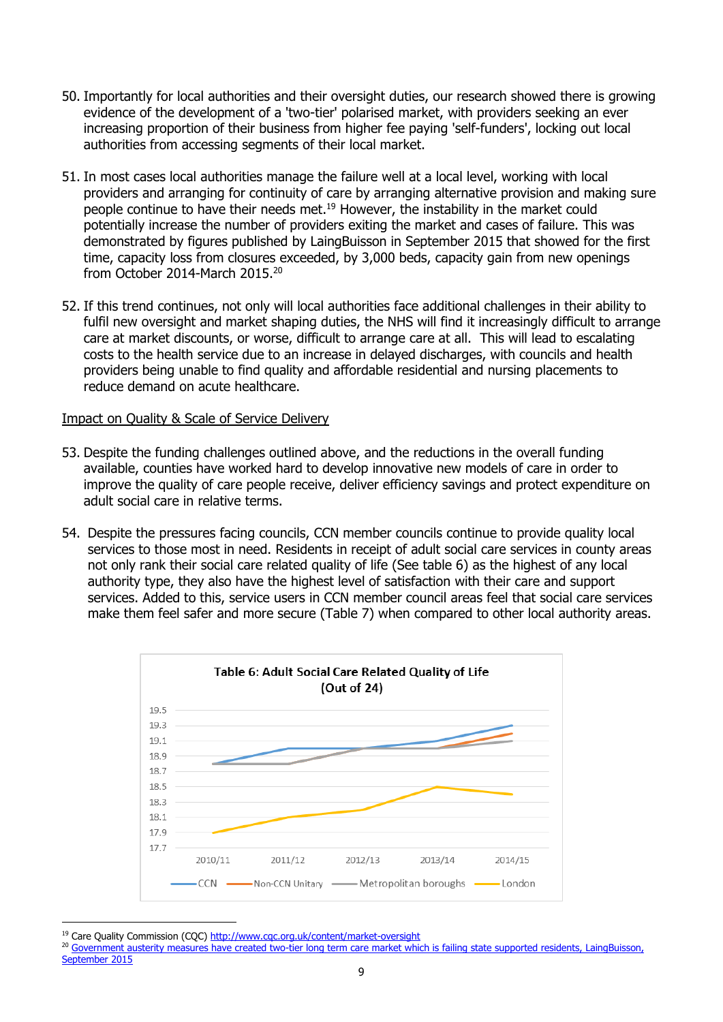- 50. Importantly for local authorities and their oversight duties, our research showed there is growing evidence of the development of a 'two-tier' polarised market, with providers seeking an ever increasing proportion of their business from higher fee paying 'self-funders', locking out local authorities from accessing segments of their local market.
- 51. In most cases local authorities manage the failure well at a local level, working with local providers and arranging for continuity of care by arranging alternative provision and making sure people continue to have their needs met.<sup>19</sup> However, the instability in the market could potentially increase the number of providers exiting the market and cases of failure. This was demonstrated by figures published by LaingBuisson in September 2015 that showed for the first time, capacity loss from closures exceeded, by 3,000 beds, capacity gain from new openings from October 2014-March 2015.<sup>20</sup>
- 52. If this trend continues, not only will local authorities face additional challenges in their ability to fulfil new oversight and market shaping duties, the NHS will find it increasingly difficult to arrange care at market discounts, or worse, difficult to arrange care at all. This will lead to escalating costs to the health service due to an increase in delayed discharges, with councils and health providers being unable to find quality and affordable residential and nursing placements to reduce demand on acute healthcare.

#### Impact on Quality & Scale of Service Delivery

- 53. Despite the funding challenges outlined above, and the reductions in the overall funding available, counties have worked hard to develop innovative new models of care in order to improve the quality of care people receive, deliver efficiency savings and protect expenditure on adult social care in relative terms.
- 54. Despite the pressures facing councils, CCN member councils continue to provide quality local services to those most in need. Residents in receipt of adult social care services in county areas not only rank their social care related quality of life (See table 6) as the highest of any local authority type, they also have the highest level of satisfaction with their care and support services. Added to this, service users in CCN member council areas feel that social care services make them feel safer and more secure (Table 7) when compared to other local authority areas.



<sup>19</sup> Care Quality Commission (CQC)<http://www.cqc.org.uk/content/market-oversight>

<sup>&</sup>lt;sup>20</sup> Government austerity measures have created two-tier long term care market which is failing state supported residents, LaingBuisson, [September 2015](https://www.laingbuisson.co.uk/MediaCentre/PressReleases/CareofOlderPeople27th.aspx)